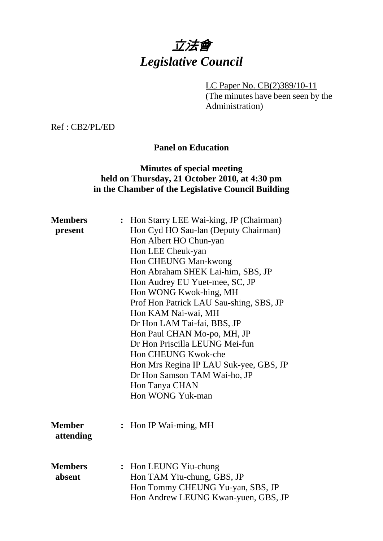

LC Paper No. CB(2)389/10-11 (The minutes have been seen by the Administration)

Ref : CB2/PL/ED

## **Panel on Education**

## **Minutes of special meeting held on Thursday, 21 October 2010, at 4:30 pm in the Chamber of the Legislative Council Building**

| <b>Members</b><br>present  |                | : Hon Starry LEE Wai-king, JP (Chairman)<br>Hon Cyd HO Sau-lan (Deputy Chairman)<br>Hon Albert HO Chun-yan<br>Hon LEE Cheuk-yan<br>Hon CHEUNG Man-kwong<br>Hon Abraham SHEK Lai-him, SBS, JP<br>Hon Audrey EU Yuet-mee, SC, JP<br>Hon WONG Kwok-hing, MH<br>Prof Hon Patrick LAU Sau-shing, SBS, JP<br>Hon KAM Nai-wai, MH<br>Dr Hon LAM Tai-fai, BBS, JP<br>Hon Paul CHAN Mo-po, MH, JP<br>Dr Hon Priscilla LEUNG Mei-fun<br>Hon CHEUNG Kwok-che<br>Hon Mrs Regina IP LAU Suk-yee, GBS, JP<br>Dr Hon Samson TAM Wai-ho, JP<br>Hon Tanya CHAN<br>Hon WONG Yuk-man |
|----------------------------|----------------|-------------------------------------------------------------------------------------------------------------------------------------------------------------------------------------------------------------------------------------------------------------------------------------------------------------------------------------------------------------------------------------------------------------------------------------------------------------------------------------------------------------------------------------------------------------------|
| <b>Member</b><br>attending | $\ddot{\cdot}$ | Hon IP Wai-ming, MH                                                                                                                                                                                                                                                                                                                                                                                                                                                                                                                                               |
| <b>Members</b><br>absent   |                | : Hon LEUNG Yiu-chung<br>Hon TAM Yiu-chung, GBS, JP<br>Hon Tommy CHEUNG Yu-yan, SBS, JP<br>Hon Andrew LEUNG Kwan-yuen, GBS, JP                                                                                                                                                                                                                                                                                                                                                                                                                                    |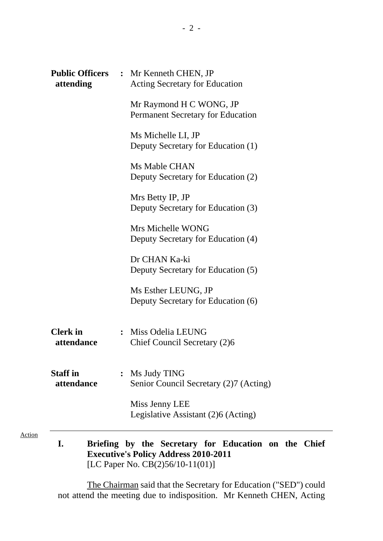| attending                     | <b>Public Officers : Mr Kenneth CHEN, JP</b><br><b>Acting Secretary for Education</b> |
|-------------------------------|---------------------------------------------------------------------------------------|
|                               | Mr Raymond H C WONG, JP<br><b>Permanent Secretary for Education</b>                   |
|                               | Ms Michelle LI, JP<br>Deputy Secretary for Education (1)                              |
|                               | Ms Mable CHAN<br>Deputy Secretary for Education (2)                                   |
|                               | Mrs Betty IP, JP<br>Deputy Secretary for Education (3)                                |
|                               | Mrs Michelle WONG<br>Deputy Secretary for Education (4)                               |
|                               | Dr CHAN Ka-ki<br>Deputy Secretary for Education (5)                                   |
|                               | Ms Esther LEUNG, JP<br>Deputy Secretary for Education (6)                             |
| <b>Clerk</b> in<br>attendance | : Miss Odelia LEUNG<br>Chief Council Secretary (2)6                                   |
| <b>Staff</b> in<br>attendance | Ms Judy TING<br>Senior Council Secretary (2)7 (Acting)                                |
|                               | Miss Jenny LEE<br>Legislative Assistant (2)6 (Acting)                                 |

**I. Briefing by the Secretary for Education on the Chief Executive's Policy Address 2010-2011**  [LC Paper No. CB(2)56/10-11(01)]

Action

The Chairman said that the Secretary for Education ("SED") could not attend the meeting due to indisposition. Mr Kenneth CHEN, Acting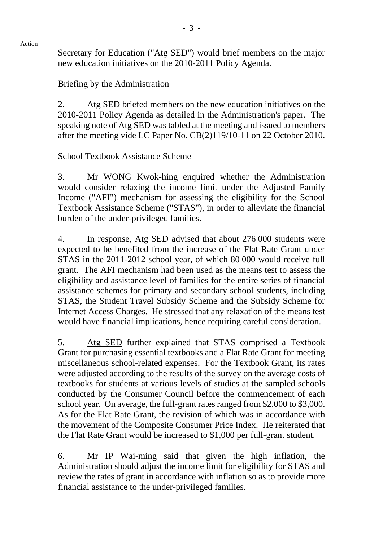Secretary for Education ("Atg SED") would brief members on the major new education initiatives on the 2010-2011 Policy Agenda.

#### Briefing by the Administration

2. Atg SED briefed members on the new education initiatives on the 2010-2011 Policy Agenda as detailed in the Administration's paper. The speaking note of Atg SED was tabled at the meeting and issued to members after the meeting vide LC Paper No. CB(2)119/10-11 on 22 October 2010.

## School Textbook Assistance Scheme

3. Mr WONG Kwok-hing enquired whether the Administration would consider relaxing the income limit under the Adjusted Family Income ("AFI") mechanism for assessing the eligibility for the School Textbook Assistance Scheme ("STAS"), in order to alleviate the financial burden of the under-privileged families.

4. In response, Atg SED advised that about 276 000 students were expected to be benefited from the increase of the Flat Rate Grant under STAS in the 2011-2012 school year, of which 80 000 would receive full grant. The AFI mechanism had been used as the means test to assess the eligibility and assistance level of families for the entire series of financial assistance schemes for primary and secondary school students, including STAS, the Student Travel Subsidy Scheme and the Subsidy Scheme for Internet Access Charges. He stressed that any relaxation of the means test would have financial implications, hence requiring careful consideration.

5. Atg SED further explained that STAS comprised a Textbook Grant for purchasing essential textbooks and a Flat Rate Grant for meeting miscellaneous school-related expenses. For the Textbook Grant, its rates were adjusted according to the results of the survey on the average costs of textbooks for students at various levels of studies at the sampled schools conducted by the Consumer Council before the commencement of each school year. On average, the full-grant rates ranged from \$2,000 to \$3,000. As for the Flat Rate Grant, the revision of which was in accordance with the movement of the Composite Consumer Price Index. He reiterated that the Flat Rate Grant would be increased to \$1,000 per full-grant student.

6. Mr IP Wai-ming said that given the high inflation, the Administration should adjust the income limit for eligibility for STAS and review the rates of grant in accordance with inflation so as to provide more financial assistance to the under-privileged families.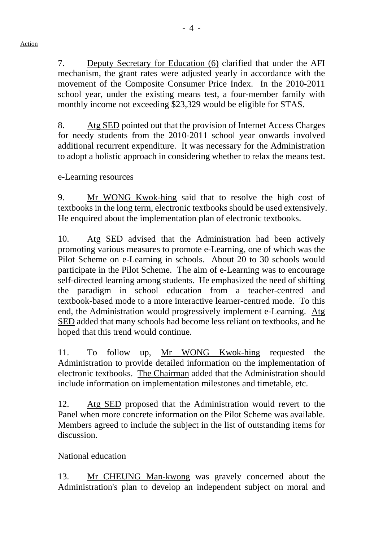7. Deputy Secretary for Education (6) clarified that under the AFI mechanism, the grant rates were adjusted yearly in accordance with the movement of the Composite Consumer Price Index. In the 2010-2011 school year, under the existing means test, a four-member family with monthly income not exceeding \$23,329 would be eligible for STAS.

8. Atg SED pointed out that the provision of Internet Access Charges for needy students from the 2010-2011 school year onwards involved additional recurrent expenditure. It was necessary for the Administration to adopt a holistic approach in considering whether to relax the means test.

#### e-Learning resources

9. Mr WONG Kwok-hing said that to resolve the high cost of textbooks in the long term, electronic textbooks should be used extensively. He enquired about the implementation plan of electronic textbooks.

10. Atg SED advised that the Administration had been actively promoting various measures to promote e-Learning, one of which was the Pilot Scheme on e-Learning in schools. About 20 to 30 schools would participate in the Pilot Scheme. The aim of e-Learning was to encourage self-directed learning among students. He emphasized the need of shifting the paradigm in school education from a teacher-centred and textbook-based mode to a more interactive learner-centred mode. To this end, the Administration would progressively implement e-Learning. Atg SED added that many schools had become less reliant on textbooks, and he hoped that this trend would continue.

11. To follow up, Mr WONG Kwok-hing requested the Administration to provide detailed information on the implementation of electronic textbooks. The Chairman added that the Administration should include information on implementation milestones and timetable, etc.

12. Atg SED proposed that the Administration would revert to the Panel when more concrete information on the Pilot Scheme was available. Members agreed to include the subject in the list of outstanding items for discussion.

#### National education

13. Mr CHEUNG Man-kwong was gravely concerned about the Administration's plan to develop an independent subject on moral and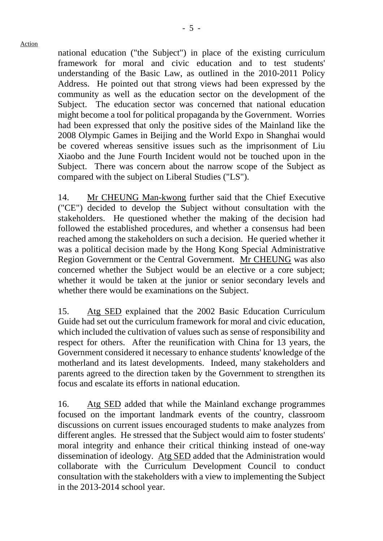national education ("the Subject") in place of the existing curriculum framework for moral and civic education and to test students' understanding of the Basic Law, as outlined in the 2010-2011 Policy Address. He pointed out that strong views had been expressed by the community as well as the education sector on the development of the Subject. The education sector was concerned that national education might become a tool for political propaganda by the Government. Worries had been expressed that only the positive sides of the Mainland like the 2008 Olympic Games in Beijing and the World Expo in Shanghai would be covered whereas sensitive issues such as the imprisonment of Liu Xiaobo and the June Fourth Incident would not be touched upon in the Subject. There was concern about the narrow scope of the Subject as compared with the subject on Liberal Studies ("LS").

14. Mr CHEUNG Man-kwong further said that the Chief Executive ("CE") decided to develop the Subject without consultation with the stakeholders. He questioned whether the making of the decision had followed the established procedures, and whether a consensus had been reached among the stakeholders on such a decision. He queried whether it was a political decision made by the Hong Kong Special Administrative Region Government or the Central Government. Mr CHEUNG was also concerned whether the Subject would be an elective or a core subject; whether it would be taken at the junior or senior secondary levels and whether there would be examinations on the Subject.

15. Atg SED explained that the 2002 Basic Education Curriculum Guide had set out the curriculum framework for moral and civic education, which included the cultivation of values such as sense of responsibility and respect for others. After the reunification with China for 13 years, the Government considered it necessary to enhance students' knowledge of the motherland and its latest developments. Indeed, many stakeholders and parents agreed to the direction taken by the Government to strengthen its focus and escalate its efforts in national education.

16. Atg SED added that while the Mainland exchange programmes focused on the important landmark events of the country, classroom discussions on current issues encouraged students to make analyzes from different angles. He stressed that the Subject would aim to foster students' moral integrity and enhance their critical thinking instead of one-way dissemination of ideology. Atg SED added that the Administration would collaborate with the Curriculum Development Council to conduct consultation with the stakeholders with a view to implementing the Subject in the 2013-2014 school year.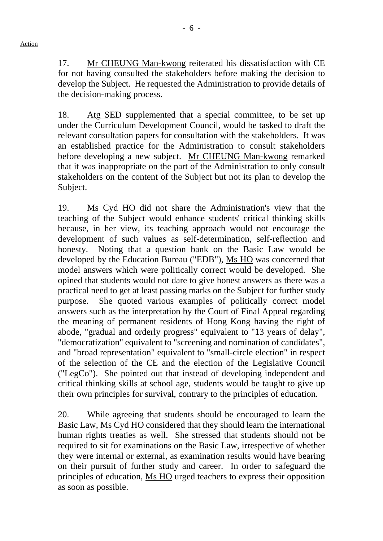17. Mr CHEUNG Man-kwong reiterated his dissatisfaction with CE for not having consulted the stakeholders before making the decision to develop the Subject. He requested the Administration to provide details of the decision-making process.

18. Atg SED supplemented that a special committee, to be set up under the Curriculum Development Council, would be tasked to draft the relevant consultation papers for consultation with the stakeholders. It was an established practice for the Administration to consult stakeholders before developing a new subject. Mr CHEUNG Man-kwong remarked that it was inappropriate on the part of the Administration to only consult stakeholders on the content of the Subject but not its plan to develop the Subject.

19. Ms Cyd HO did not share the Administration's view that the teaching of the Subject would enhance students' critical thinking skills because, in her view, its teaching approach would not encourage the development of such values as self-determination, self-reflection and honesty. Noting that a question bank on the Basic Law would be developed by the Education Bureau ("EDB"), Ms HO was concerned that model answers which were politically correct would be developed. She opined that students would not dare to give honest answers as there was a practical need to get at least passing marks on the Subject for further study purpose. She quoted various examples of politically correct model answers such as the interpretation by the Court of Final Appeal regarding the meaning of permanent residents of Hong Kong having the right of abode, "gradual and orderly progress" equivalent to "13 years of delay", "democratization" equivalent to "screening and nomination of candidates", and "broad representation" equivalent to "small-circle election" in respect of the selection of the CE and the election of the Legislative Council ("LegCo"). She pointed out that instead of developing independent and critical thinking skills at school age, students would be taught to give up their own principles for survival, contrary to the principles of education.

20. While agreeing that students should be encouraged to learn the Basic Law, Ms Cyd HO considered that they should learn the international human rights treaties as well. She stressed that students should not be required to sit for examinations on the Basic Law, irrespective of whether they were internal or external, as examination results would have bearing on their pursuit of further study and career. In order to safeguard the principles of education, Ms HO urged teachers to express their opposition as soon as possible.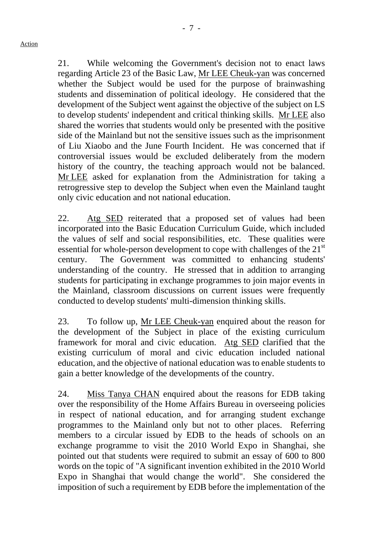21. While welcoming the Government's decision not to enact laws regarding Article 23 of the Basic Law, Mr LEE Cheuk-yan was concerned whether the Subject would be used for the purpose of brainwashing students and dissemination of political ideology. He considered that the development of the Subject went against the objective of the subject on LS to develop students' independent and critical thinking skills. Mr LEE also shared the worries that students would only be presented with the positive side of the Mainland but not the sensitive issues such as the imprisonment of Liu Xiaobo and the June Fourth Incident. He was concerned that if controversial issues would be excluded deliberately from the modern history of the country, the teaching approach would not be balanced. Mr LEE asked for explanation from the Administration for taking a retrogressive step to develop the Subject when even the Mainland taught only civic education and not national education.

22. Atg SED reiterated that a proposed set of values had been incorporated into the Basic Education Curriculum Guide, which included the values of self and social responsibilities, etc. These qualities were essential for whole-person development to cope with challenges of the  $21<sup>st</sup>$ century. The Government was committed to enhancing students' understanding of the country. He stressed that in addition to arranging students for participating in exchange programmes to join major events in the Mainland, classroom discussions on current issues were frequently conducted to develop students' multi-dimension thinking skills.

23. To follow up, Mr LEE Cheuk-yan enquired about the reason for the development of the Subject in place of the existing curriculum framework for moral and civic education. Atg SED clarified that the existing curriculum of moral and civic education included national education, and the objective of national education was to enable students to gain a better knowledge of the developments of the country.

24. Miss Tanya CHAN enquired about the reasons for EDB taking over the responsibility of the Home Affairs Bureau in overseeing policies in respect of national education, and for arranging student exchange programmes to the Mainland only but not to other places. Referring members to a circular issued by EDB to the heads of schools on an exchange programme to visit the 2010 World Expo in Shanghai, she pointed out that students were required to submit an essay of 600 to 800 words on the topic of "A significant invention exhibited in the 2010 World Expo in Shanghai that would change the world". She considered the imposition of such a requirement by EDB before the implementation of the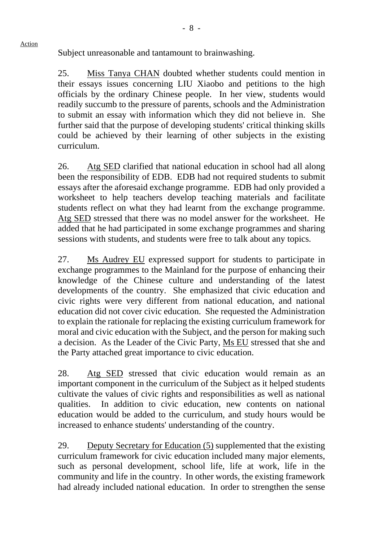Subject unreasonable and tantamount to brainwashing.

Action

25. Miss Tanya CHAN doubted whether students could mention in their essays issues concerning LIU Xiaobo and petitions to the high officials by the ordinary Chinese people. In her view, students would readily succumb to the pressure of parents, schools and the Administration to submit an essay with information which they did not believe in. She further said that the purpose of developing students' critical thinking skills could be achieved by their learning of other subjects in the existing curriculum.

26. Atg SED clarified that national education in school had all along been the responsibility of EDB. EDB had not required students to submit essays after the aforesaid exchange programme. EDB had only provided a worksheet to help teachers develop teaching materials and facilitate students reflect on what they had learnt from the exchange programme. Atg SED stressed that there was no model answer for the worksheet. He added that he had participated in some exchange programmes and sharing sessions with students, and students were free to talk about any topics.

27. Ms Audrey EU expressed support for students to participate in exchange programmes to the Mainland for the purpose of enhancing their knowledge of the Chinese culture and understanding of the latest developments of the country. She emphasized that civic education and civic rights were very different from national education, and national education did not cover civic education. She requested the Administration to explain the rationale for replacing the existing curriculum framework for moral and civic education with the Subject, and the person for making such a decision. As the Leader of the Civic Party, Ms EU stressed that she and the Party attached great importance to civic education.

28. Atg SED stressed that civic education would remain as an important component in the curriculum of the Subject as it helped students cultivate the values of civic rights and responsibilities as well as national qualities. In addition to civic education, new contents on national education would be added to the curriculum, and study hours would be increased to enhance students' understanding of the country.

29. Deputy Secretary for Education (5) supplemented that the existing curriculum framework for civic education included many major elements, such as personal development, school life, life at work, life in the community and life in the country. In other words, the existing framework had already included national education. In order to strengthen the sense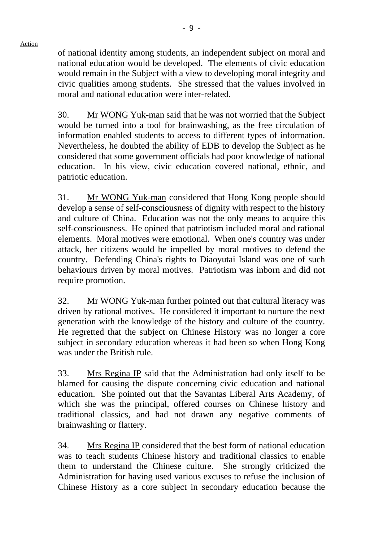of national identity among students, an independent subject on moral and national education would be developed. The elements of civic education would remain in the Subject with a view to developing moral integrity and civic qualities among students. She stressed that the values involved in moral and national education were inter-related.

30. Mr WONG Yuk-man said that he was not worried that the Subject would be turned into a tool for brainwashing, as the free circulation of information enabled students to access to different types of information. Nevertheless, he doubted the ability of EDB to develop the Subject as he considered that some government officials had poor knowledge of national education. In his view, civic education covered national, ethnic, and patriotic education.

31. Mr WONG Yuk-man considered that Hong Kong people should develop a sense of self-consciousness of dignity with respect to the history and culture of China. Education was not the only means to acquire this self-consciousness. He opined that patriotism included moral and rational elements. Moral motives were emotional. When one's country was under attack, her citizens would be impelled by moral motives to defend the country. Defending China's rights to Diaoyutai Island was one of such behaviours driven by moral motives. Patriotism was inborn and did not require promotion.

32. Mr WONG Yuk-man further pointed out that cultural literacy was driven by rational motives. He considered it important to nurture the next generation with the knowledge of the history and culture of the country. He regretted that the subject on Chinese History was no longer a core subject in secondary education whereas it had been so when Hong Kong was under the British rule.

33. Mrs Regina IP said that the Administration had only itself to be blamed for causing the dispute concerning civic education and national education. She pointed out that the Savantas Liberal Arts Academy, of which she was the principal, offered courses on Chinese history and traditional classics, and had not drawn any negative comments of brainwashing or flattery.

34. Mrs Regina IP considered that the best form of national education was to teach students Chinese history and traditional classics to enable them to understand the Chinese culture. She strongly criticized the Administration for having used various excuses to refuse the inclusion of Chinese History as a core subject in secondary education because the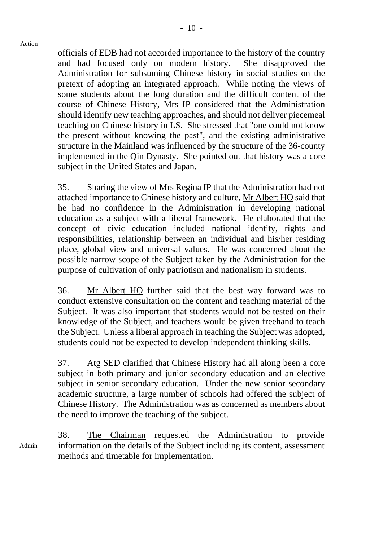officials of EDB had not accorded importance to the history of the country and had focused only on modern history. She disapproved the Administration for subsuming Chinese history in social studies on the pretext of adopting an integrated approach. While noting the views of some students about the long duration and the difficult content of the course of Chinese History, Mrs IP considered that the Administration should identify new teaching approaches, and should not deliver piecemeal teaching on Chinese history in LS. She stressed that "one could not know the present without knowing the past", and the existing administrative structure in the Mainland was influenced by the structure of the 36-county implemented in the Qin Dynasty. She pointed out that history was a core subject in the United States and Japan.

35. Sharing the view of Mrs Regina IP that the Administration had not attached importance to Chinese history and culture, Mr Albert HO said that he had no confidence in the Administration in developing national education as a subject with a liberal framework. He elaborated that the concept of civic education included national identity, rights and responsibilities, relationship between an individual and his/her residing place, global view and universal values. He was concerned about the possible narrow scope of the Subject taken by the Administration for the purpose of cultivation of only patriotism and nationalism in students.

36. Mr Albert HO further said that the best way forward was to conduct extensive consultation on the content and teaching material of the Subject. It was also important that students would not be tested on their knowledge of the Subject, and teachers would be given freehand to teach the Subject. Unless a liberal approach in teaching the Subject was adopted, students could not be expected to develop independent thinking skills.

37. Atg SED clarified that Chinese History had all along been a core subject in both primary and junior secondary education and an elective subject in senior secondary education. Under the new senior secondary academic structure, a large number of schools had offered the subject of Chinese History. The Administration was as concerned as members about the need to improve the teaching of the subject.

Admin 38. The Chairman requested the Administration to provide information on the details of the Subject including its content, assessment methods and timetable for implementation.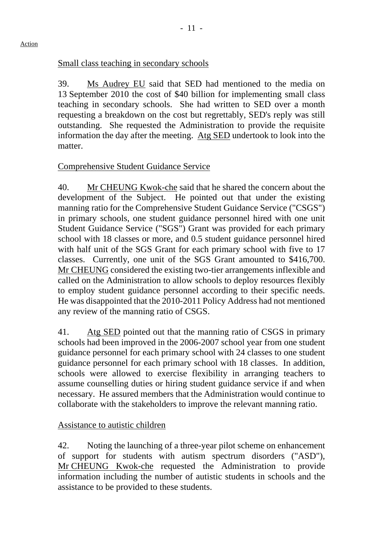# Small class teaching in secondary schools

39. Ms Audrey EU said that SED had mentioned to the media on 13 September 2010 the cost of \$40 billion for implementing small class teaching in secondary schools. She had written to SED over a month requesting a breakdown on the cost but regrettably, SED's reply was still outstanding. She requested the Administration to provide the requisite information the day after the meeting. Atg SED undertook to look into the matter.

# Comprehensive Student Guidance Service

40. Mr CHEUNG Kwok-che said that he shared the concern about the development of the Subject. He pointed out that under the existing manning ratio for the Comprehensive Student Guidance Service ("CSGS") in primary schools, one student guidance personnel hired with one unit Student Guidance Service ("SGS") Grant was provided for each primary school with 18 classes or more, and 0.5 student guidance personnel hired with half unit of the SGS Grant for each primary school with five to 17 classes. Currently, one unit of the SGS Grant amounted to \$416,700. Mr CHEUNG considered the existing two-tier arrangements inflexible and called on the Administration to allow schools to deploy resources flexibly to employ student guidance personnel according to their specific needs. He was disappointed that the 2010-2011 Policy Address had not mentioned any review of the manning ratio of CSGS.

41. Atg SED pointed out that the manning ratio of CSGS in primary schools had been improved in the 2006-2007 school year from one student guidance personnel for each primary school with 24 classes to one student guidance personnel for each primary school with 18 classes. In addition, schools were allowed to exercise flexibility in arranging teachers to assume counselling duties or hiring student guidance service if and when necessary. He assured members that the Administration would continue to collaborate with the stakeholders to improve the relevant manning ratio.

# Assistance to autistic children

42. Noting the launching of a three-year pilot scheme on enhancement of support for students with autism spectrum disorders ("ASD"), Mr CHEUNG Kwok-che requested the Administration to provide information including the number of autistic students in schools and the assistance to be provided to these students.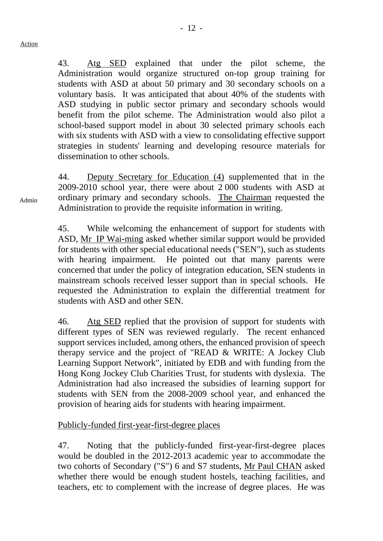43. Atg SED explained that under the pilot scheme, the Administration would organize structured on-top group training for students with ASD at about 50 primary and 30 secondary schools on a voluntary basis. It was anticipated that about 40% of the students with ASD studying in public sector primary and secondary schools would benefit from the pilot scheme. The Administration would also pilot a school-based support model in about 30 selected primary schools each with six students with ASD with a view to consolidating effective support strategies in students' learning and developing resource materials for dissemination to other schools.

44. Deputy Secretary for Education (4) supplemented that in the 2009-2010 school year, there were about 2 000 students with ASD at ordinary primary and secondary schools. The Chairman requested the Administration to provide the requisite information in writing.

45. While welcoming the enhancement of support for students with ASD, Mr IP Wai-ming asked whether similar support would be provided for students with other special educational needs ("SEN"), such as students with hearing impairment. He pointed out that many parents were concerned that under the policy of integration education, SEN students in mainstream schools received lesser support than in special schools. He requested the Administration to explain the differential treatment for students with ASD and other SEN.

46. Atg SED replied that the provision of support for students with different types of SEN was reviewed regularly. The recent enhanced support services included, among others, the enhanced provision of speech therapy service and the project of "READ & WRITE: A Jockey Club Learning Support Network", initiated by EDB and with funding from the Hong Kong Jockey Club Charities Trust, for students with dyslexia. The Administration had also increased the subsidies of learning support for students with SEN from the 2008-2009 school year, and enhanced the provision of hearing aids for students with hearing impairment.

# Publicly-funded first-year-first-degree places

47. Noting that the publicly-funded first-year-first-degree places would be doubled in the 2012-2013 academic year to accommodate the two cohorts of Secondary ("S") 6 and S7 students, Mr Paul CHAN asked whether there would be enough student hostels, teaching facilities, and teachers, etc to complement with the increase of degree places. He was

Admin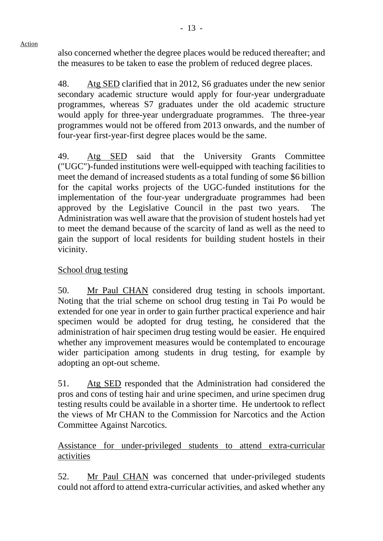also concerned whether the degree places would be reduced thereafter; and the measures to be taken to ease the problem of reduced degree places.

48. Atg SED clarified that in 2012, S6 graduates under the new senior secondary academic structure would apply for four-year undergraduate programmes, whereas S7 graduates under the old academic structure would apply for three-year undergraduate programmes. The three-year programmes would not be offered from 2013 onwards, and the number of four-year first-year-first degree places would be the same.

49. Atg SED said that the University Grants Committee ("UGC")-funded institutions were well-equipped with teaching facilities to meet the demand of increased students as a total funding of some \$6 billion for the capital works projects of the UGC-funded institutions for the implementation of the four-year undergraduate programmes had been approved by the Legislative Council in the past two years. The Administration was well aware that the provision of student hostels had yet to meet the demand because of the scarcity of land as well as the need to gain the support of local residents for building student hostels in their vicinity.

# School drug testing

Action

50. Mr Paul CHAN considered drug testing in schools important. Noting that the trial scheme on school drug testing in Tai Po would be extended for one year in order to gain further practical experience and hair specimen would be adopted for drug testing, he considered that the administration of hair specimen drug testing would be easier. He enquired whether any improvement measures would be contemplated to encourage wider participation among students in drug testing, for example by adopting an opt-out scheme.

51. Atg SED responded that the Administration had considered the pros and cons of testing hair and urine specimen, and urine specimen drug testing results could be available in a shorter time. He undertook to reflect the views of Mr CHAN to the Commission for Narcotics and the Action Committee Against Narcotics.

Assistance for under-privileged students to attend extra-curricular activities

52. Mr Paul CHAN was concerned that under-privileged students could not afford to attend extra-curricular activities, and asked whether any